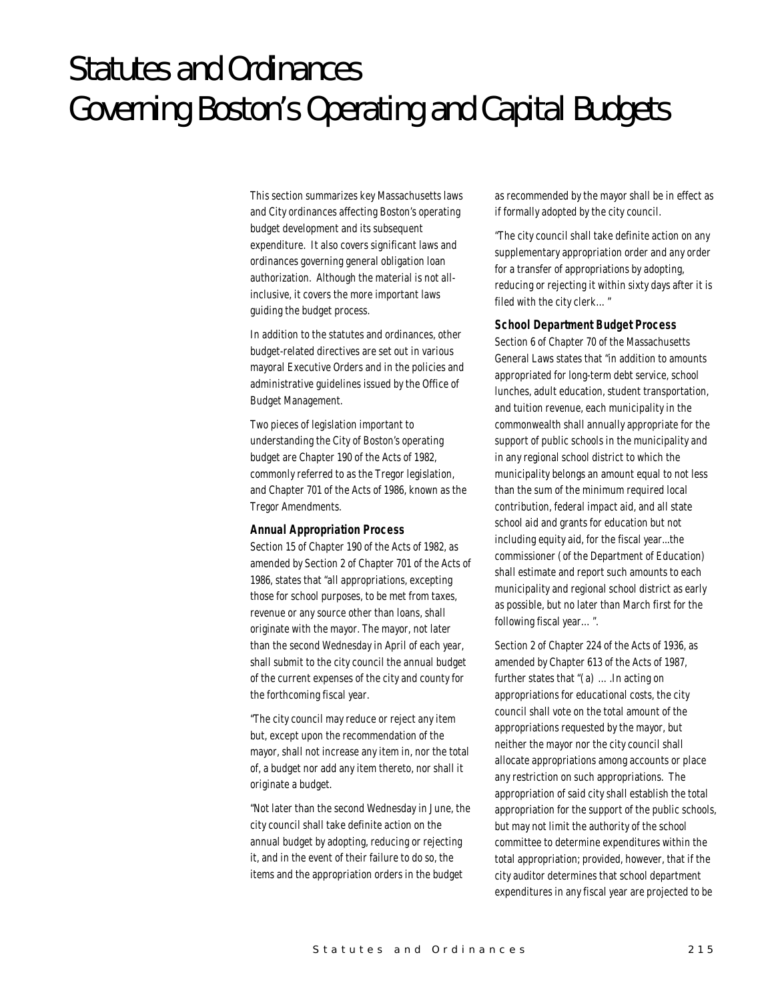# Statutes and Ordinances Governing Boston's Operating and Capital Budgets

This section summarizes key Massachusetts laws and City ordinances affecting Boston's operating budget development and its subsequent expenditure. It also covers significant laws and ordinances governing general obligation loan authorization. Although the material is not allinclusive, it covers the more important laws guiding the budget process.

In addition to the statutes and ordinances, other budget-related directives are set out in various mayoral Executive Orders and in the policies and administrative guidelines issued by the Office of Budget Management.

Two pieces of legislation important to understanding the City of Boston's operating budget are Chapter 190 of the Acts of 1982, commonly referred to as the Tregor legislation, and Chapter 701 of the Acts of 1986, known as the Tregor Amendments.

### *Annual Appropriation Process*

Section 15 of Chapter 190 of the Acts of 1982, as amended by Section 2 of Chapter 701 of the Acts of 1986, states that "all appropriations, excepting those for school purposes, to be met from taxes, revenue or any source other than loans, shall originate with the mayor. The mayor, not later than the second Wednesday in April of each year, shall submit to the city council the annual budget of the current expenses of the city and county for the forthcoming fiscal year.

"The city council may reduce or reject any item but, except upon the recommendation of the mayor, shall not increase any item in, nor the total of, a budget nor add any item thereto, nor shall it originate a budget.

"Not later than the second Wednesday in June, the city council shall take definite action on the annual budget by adopting, reducing or rejecting it, and in the event of their failure to do so, the items and the appropriation orders in the budget

as recommended by the mayor shall be in effect as if formally adopted by the city council.

"The city council shall take definite action on any supplementary appropriation order and any order for a transfer of appropriations by adopting, reducing or rejecting it within sixty days after it is filed with the city clerk…"

#### *School Department Budget Process*

Section 6 of Chapter 70 of the Massachusetts General Laws states that "in addition to amounts appropriated for long-term debt service, school lunches, adult education, student transportation, and tuition revenue, each municipality in the commonwealth shall annually appropriate for the support of public schools in the municipality and in any regional school district to which the municipality belongs an amount equal to not less than the sum of the minimum required local contribution, federal impact aid, and all state school aid and grants for education but not including equity aid, for the fiscal year...the commissioner (of the Department of Education) shall estimate and report such amounts to each municipality and regional school district as early as possible, but no later than March first for the following fiscal year…".

Section 2 of Chapter 224 of the Acts of 1936, as amended by Chapter 613 of the Acts of 1987, further states that "(a) ….In acting on appropriations for educational costs, the city council shall vote on the total amount of the appropriations requested by the mayor, but neither the mayor nor the city council shall allocate appropriations among accounts or place any restriction on such appropriations. The appropriation of said city shall establish the total appropriation for the support of the public schools, but may not limit the authority of the school committee to determine expenditures within the total appropriation; provided, however, that if the city auditor determines that school department expenditures in any fiscal year are projected to be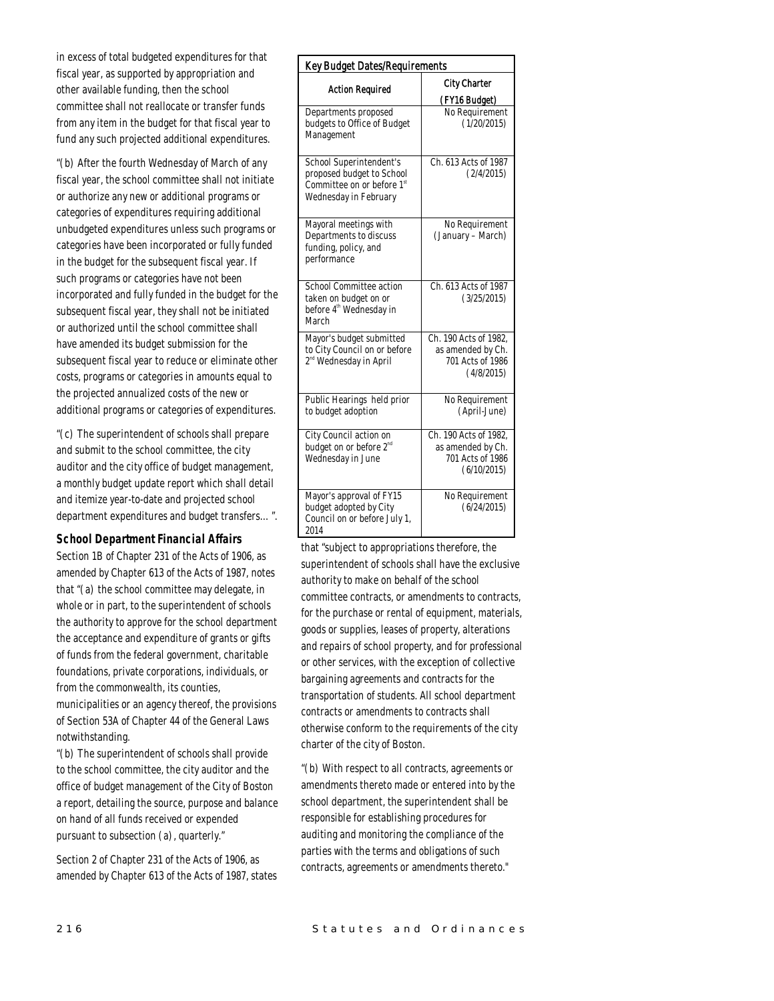in excess of total budgeted expenditures for that fiscal year, as supported by appropriation and other available funding, then the school committee shall not reallocate or transfer funds from any item in the budget for that fiscal year to fund any such projected additional expenditures.

"(b) After the fourth Wednesday of March of any fiscal year, the school committee shall not initiate or authorize any new or additional programs or categories of expenditures requiring additional unbudgeted expenditures unless such programs or categories have been incorporated or fully funded in the budget for the subsequent fiscal year. If such programs or categories have not been incorporated and fully funded in the budget for the subsequent fiscal year, they shall not be initiated or authorized until the school committee shall have amended its budget submission for the subsequent fiscal year to reduce or eliminate other costs, programs or categories in amounts equal to the projected annualized costs of the new or additional programs or categories of expenditures.

"(c) The superintendent of schools shall prepare and submit to the school committee, the city auditor and the city office of budget management, a monthly budget update report which shall detail and itemize year-to-date and projected school department expenditures and budget transfers…".

## *School Department Financial Affairs*

Section 1B of Chapter 231 of the Acts of 1906, as amended by Chapter 613 of the Acts of 1987, notes that "(a) the school committee may delegate, in whole or in part, to the superintendent of schools the authority to approve for the school department the acceptance and expenditure of grants or gifts of funds from the federal government, charitable foundations, private corporations, individuals, or from the commonwealth, its counties, municipalities or an agency thereof, the provisions of Section 53A of Chapter 44 of the General Laws

notwithstanding. "(b) The superintendent of schools shall provide to the school committee, the city auditor and the office of budget management of the City of Boston a report, detailing the source, purpose and balance on hand of all funds received or expended pursuant to subsection (a), quarterly."

Section 2 of Chapter 231 of the Acts of 1906, as amended by Chapter 613 of the Acts of 1987, states

| <b>Key Budget Dates/Requirements</b>                                                                                    |                                                                               |
|-------------------------------------------------------------------------------------------------------------------------|-------------------------------------------------------------------------------|
| <b>Action Required</b>                                                                                                  | <b>City Charter</b><br>(FY16 Budget)                                          |
| Departments proposed<br>budgets to Office of Budget<br>Management                                                       | No Requirement<br>(1/20/2015)                                                 |
| School Superintendent's<br>proposed budget to School<br>Committee on or before 1 <sup>st</sup><br>Wednesday in February | Ch. 613 Acts of 1987<br>(2/4/2015)                                            |
| Mayoral meetings with<br>Departments to discuss<br>funding, policy, and<br>performance                                  | No Requirement<br>(January – March)                                           |
| School Committee action<br>taken on budget on or<br>before 4 <sup>th</sup> Wednesday in<br>March                        | Ch. 613 Acts of 1987<br>(3/25/2015)                                           |
| Mayor's budget submitted<br>to City Council on or before<br>2 <sup>nd</sup> Wednesday in April                          | Ch. 190 Acts of 1982,<br>as amended by Ch.<br>701 Acts of 1986<br>(4/8/2015)  |
| Public Hearings held prior<br>to budget adoption                                                                        | No Requirement<br>(April-June)                                                |
| City Council action on<br>budget on or before 2 <sup>nd</sup><br>Wednesday in June                                      | Ch. 190 Acts of 1982,<br>as amended by Ch.<br>701 Acts of 1986<br>(6/10/2015) |
| Mayor's approval of FY15<br>budget adopted by City<br>Council on or before July 1,<br>2014                              | No Requirement<br>(6/24/2015)                                                 |

that "subject to appropriations therefore, the superintendent of schools shall have the exclusive authority to make on behalf of the school committee contracts, or amendments to contracts, for the purchase or rental of equipment, materials, goods or supplies, leases of property, alterations and repairs of school property, and for professional or other services, with the exception of collective bargaining agreements and contracts for the transportation of students. All school department contracts or amendments to contracts shall otherwise conform to the requirements of the city charter of the city of Boston.

"(b) With respect to all contracts, agreements or amendments thereto made or entered into by the school department, the superintendent shall be responsible for establishing procedures for auditing and monitoring the compliance of the parties with the terms and obligations of such contracts, agreements or amendments thereto."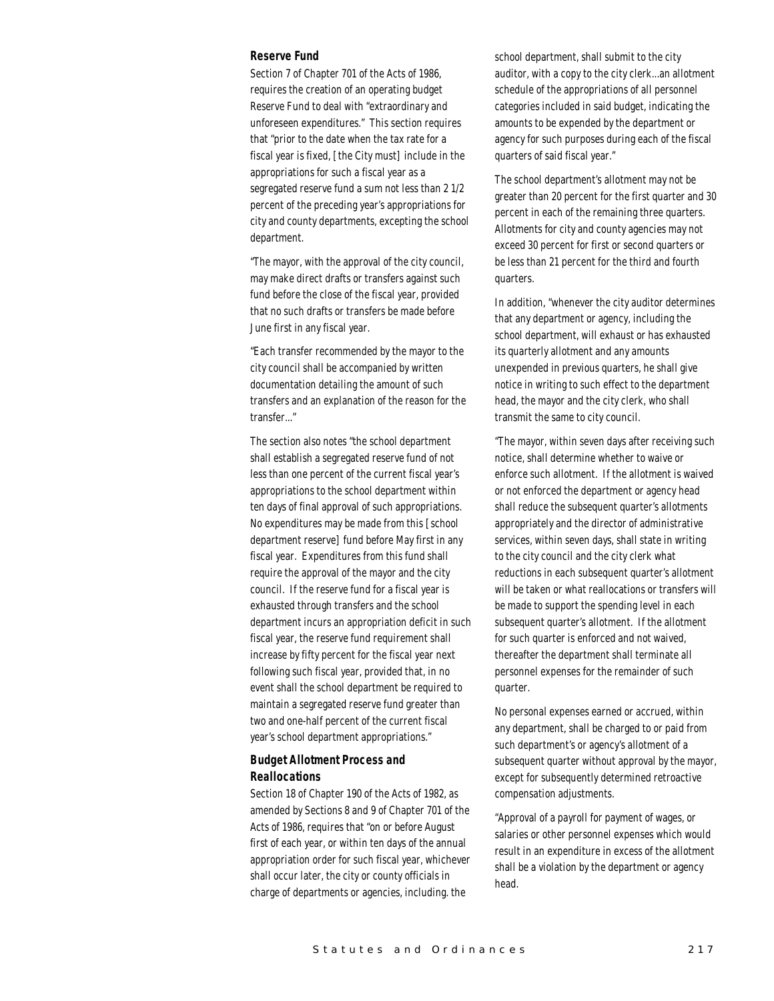#### *Reserve Fund*

Section 7 of Chapter 701 of the Acts of 1986, requires the creation of an operating budget Reserve Fund to deal with "extraordinary and unforeseen expenditures." This section requires that "prior to the date when the tax rate for a fiscal year is fixed, [the City must] include in the appropriations for such a fiscal year as a segregated reserve fund a sum not less than 2 1/2 percent of the preceding year's appropriations for city and county departments, excepting the school department.

"The mayor, with the approval of the city council, may make direct drafts or transfers against such fund before the close of the fiscal year, provided that no such drafts or transfers be made before June first in any fiscal year.

"Each transfer recommended by the mayor to the city council shall be accompanied by written documentation detailing the amount of such transfers and an explanation of the reason for the transfer..."

The section also notes "the school department shall establish a segregated reserve fund of not less than one percent of the current fiscal year's appropriations to the school department within ten days of final approval of such appropriations. No expenditures may be made from this [school department reserve] fund before May first in any fiscal year. Expenditures from this fund shall require the approval of the mayor and the city council. If the reserve fund for a fiscal year is exhausted through transfers and the school department incurs an appropriation deficit in such fiscal year, the reserve fund requirement shall increase by fifty percent for the fiscal year next following such fiscal year, provided that, in no event shall the school department be required to maintain a segregated reserve fund greater than two and one-half percent of the current fiscal year's school department appropriations."

# *Budget Allotment Process and Reallocations*

Section 18 of Chapter 190 of the Acts of 1982, as amended by Sections 8 and 9 of Chapter 701 of the Acts of 1986, requires that "on or before August first of each year, or within ten days of the annual appropriation order for such fiscal year, whichever shall occur later, the city or county officials in charge of departments or agencies, including. the

school department, shall submit to the city auditor, with a copy to the city clerk...an allotment schedule of the appropriations of all personnel categories included in said budget, indicating the amounts to be expended by the department or agency for such purposes during each of the fiscal quarters of said fiscal year."

The school department's allotment may not be greater than 20 percent for the first quarter and 30 percent in each of the remaining three quarters. Allotments for city and county agencies may not exceed 30 percent for first or second quarters or be less than 21 percent for the third and fourth quarters.

In addition, "whenever the city auditor determines that any department or agency, including the school department, will exhaust or has exhausted its quarterly allotment and any amounts unexpended in previous quarters, he shall give notice in writing to such effect to the department head, the mayor and the city clerk, who shall transmit the same to city council.

"The mayor, within seven days after receiving such notice, shall determine whether to waive or enforce such allotment. If the allotment is waived or not enforced the department or agency head shall reduce the subsequent quarter's allotments appropriately and the director of administrative services, within seven days, shall state in writing to the city council and the city clerk what reductions in each subsequent quarter's allotment will be taken or what reallocations or transfers will be made to support the spending level in each subsequent quarter's allotment. If the allotment for such quarter is enforced and not waived, thereafter the department shall terminate all personnel expenses for the remainder of such quarter.

No personal expenses earned or accrued, within any department, shall be charged to or paid from such department's or agency's allotment of a subsequent quarter without approval by the mayor, except for subsequently determined retroactive compensation adjustments.

"Approval of a payroll for payment of wages, or salaries or other personnel expenses which would result in an expenditure in excess of the allotment shall be a violation by the department or agency head.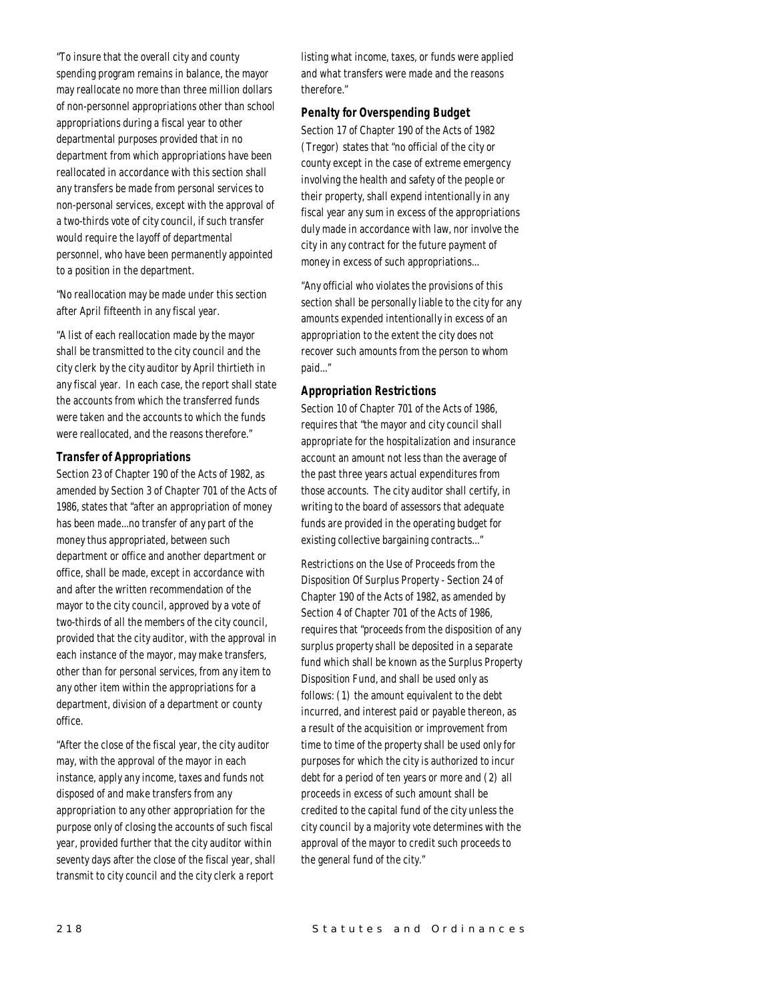"To insure that the overall city and county spending program remains in balance, the mayor may reallocate no more than three million dollars of non-personnel appropriations other than school appropriations during a fiscal year to other departmental purposes provided that in no department from which appropriations have been reallocated in accordance with this section shall any transfers be made from personal services to non-personal services, except with the approval of a two-thirds vote of city council, if such transfer would require the layoff of departmental personnel, who have been permanently appointed to a position in the department.

"No reallocation may be made under this section after April fifteenth in any fiscal year.

"A list of each reallocation made by the mayor shall be transmitted to the city council and the city clerk by the city auditor by April thirtieth in any fiscal year. In each case, the report shall state the accounts from which the transferred funds were taken and the accounts to which the funds were reallocated, and the reasons therefore."

### *Transfer of Appropriations*

Section 23 of Chapter 190 of the Acts of 1982, as amended by Section 3 of Chapter 701 of the Acts of 1986, states that "after an appropriation of money has been made...no transfer of any part of the money thus appropriated, between such department or office and another department or office, shall be made, except in accordance with and after the written recommendation of the mayor to the city council, approved by a vote of two-thirds of all the members of the city council, provided that the city auditor, with the approval in each instance of the mayor, may make transfers, other than for personal services, from any item to any other item within the appropriations for a department, division of a department or county office.

"After the close of the fiscal year, the city auditor may, with the approval of the mayor in each instance, apply any income, taxes and funds not disposed of and make transfers from any appropriation to any other appropriation for the purpose only of closing the accounts of such fiscal year, provided further that the city auditor within seventy days after the close of the fiscal year, shall transmit to city council and the city clerk a report

listing what income, taxes, or funds were applied and what transfers were made and the reasons therefore."

## *Penalty for Overspending Budget*

Section 17 of Chapter 190 of the Acts of 1982 (Tregor) states that "no official of the city or county except in the case of extreme emergency involving the health and safety of the people or their property, shall expend intentionally in any fiscal year any sum in excess of the appropriations duly made in accordance with law, nor involve the city in any contract for the future payment of money in excess of such appropriations...

"Any official who violates the provisions of this section shall be personally liable to the city for any amounts expended intentionally in excess of an appropriation to the extent the city does not recover such amounts from the person to whom paid..."

## *Appropriation Restrictions*

Section 10 of Chapter 701 of the Acts of 1986, requires that "the mayor and city council shall appropriate for the hospitalization and insurance account an amount not less than the average of the past three years actual expenditures from those accounts. The city auditor shall certify, in writing to the board of assessors that adequate funds are provided in the operating budget for existing collective bargaining contracts..."

Restrictions on the Use of Proceeds from the Disposition Of Surplus Property - Section 24 of Chapter 190 of the Acts of 1982, as amended by Section 4 of Chapter 701 of the Acts of 1986, requires that "proceeds from the disposition of any surplus property shall be deposited in a separate fund which shall be known as the Surplus Property Disposition Fund, and shall be used only as follows: (1) the amount equivalent to the debt incurred, and interest paid or payable thereon, as a result of the acquisition or improvement from time to time of the property shall be used only for purposes for which the city is authorized to incur debt for a period of ten years or more and (2) all proceeds in excess of such amount shall be credited to the capital fund of the city unless the city council by a majority vote determines with the approval of the mayor to credit such proceeds to the general fund of the city."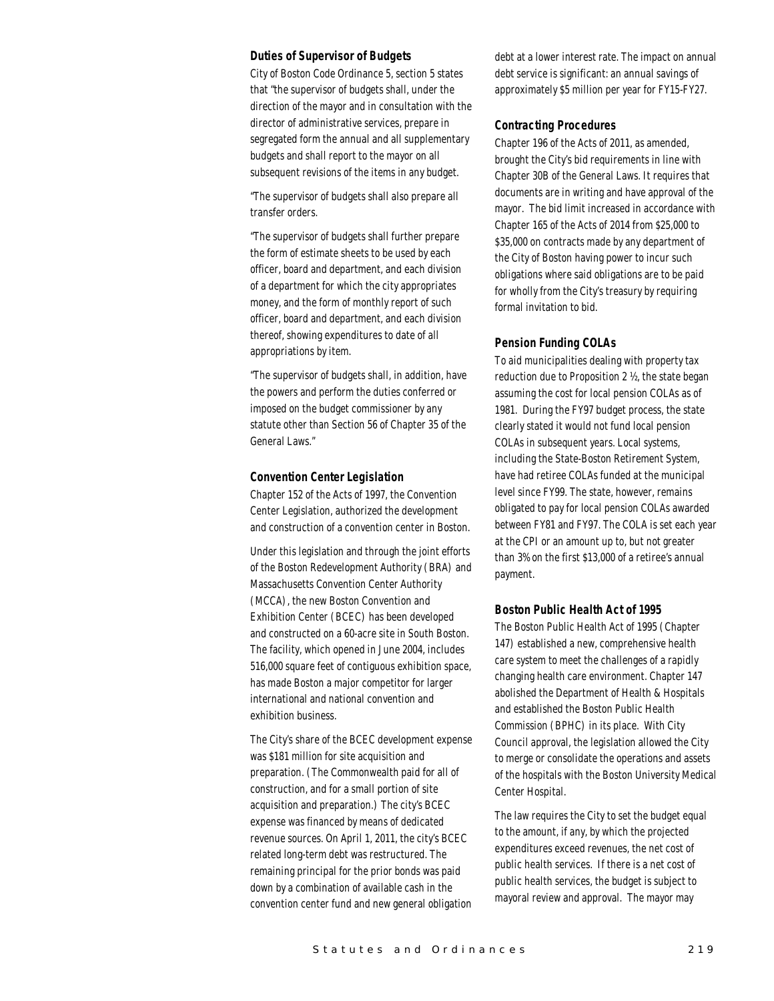#### *Duties of Supervisor of Budgets*

City of Boston Code Ordinance 5, section 5 states that "the supervisor of budgets shall, under the direction of the mayor and in consultation with the director of administrative services, prepare in segregated form the annual and all supplementary budgets and shall report to the mayor on all subsequent revisions of the items in any budget.

"The supervisor of budgets shall also prepare all transfer orders.

"The supervisor of budgets shall further prepare the form of estimate sheets to be used by each officer, board and department, and each division of a department for which the city appropriates money, and the form of monthly report of such officer, board and department, and each division thereof, showing expenditures to date of all appropriations by item.

"The supervisor of budgets shall, in addition, have the powers and perform the duties conferred or imposed on the budget commissioner by any statute other than Section 56 of Chapter 35 of the General Laws."

#### *Convention Center Legislation*

Chapter 152 of the Acts of 1997, the Convention Center Legislation, authorized the development and construction of a convention center in Boston.

Under this legislation and through the joint efforts of the Boston Redevelopment Authority (BRA) and Massachusetts Convention Center Authority (MCCA), the new Boston Convention and Exhibition Center (BCEC) has been developed and constructed on a 60-acre site in South Boston. The facility, which opened in June 2004, includes 516,000 square feet of contiguous exhibition space, has made Boston a major competitor for larger international and national convention and exhibition business.

The City's share of the BCEC development expense was \$181 million for site acquisition and preparation. (The Commonwealth paid for all of construction, and for a small portion of site acquisition and preparation.) The city's BCEC expense was financed by means of dedicated revenue sources. On April 1, 2011, the city's BCEC related long-term debt was restructured. The remaining principal for the prior bonds was paid down by a combination of available cash in the convention center fund and new general obligation

debt at a lower interest rate. The impact on annual debt service is significant: an annual savings of approximately \$5 million per year for FY15-FY27.

#### *Contracting Procedures*

Chapter 196 of the Acts of 2011, as amended, brought the City's bid requirements in line with Chapter 30B of the General Laws. It requires that documents are in writing and have approval of the mayor. The bid limit increased in accordance with Chapter 165 of the Acts of 2014 from \$25,000 to \$35,000 on contracts made by any department of the City of Boston having power to incur such obligations where said obligations are to be paid for wholly from the City's treasury by requiring formal invitation to bid.

## *Pension Funding COLAs*

To aid municipalities dealing with property tax reduction due to Proposition 2 ½, the state began assuming the cost for local pension COLAs as of 1981. During the FY97 budget process, the state clearly stated it would not fund local pension COLAs in subsequent years. Local systems, including the State-Boston Retirement System, have had retiree COLAs funded at the municipal level since FY99. The state, however, remains obligated to pay for local pension COLAs awarded between FY81 and FY97. The COLA is set each year at the CPI or an amount up to, but not greater than 3% on the first \$13,000 of a retiree's annual payment.

## *Boston Public Health Act of 1995*

The Boston Public Health Act of 1995 (Chapter 147) established a new, comprehensive health care system to meet the challenges of a rapidly changing health care environment. Chapter 147 abolished the Department of Health & Hospitals and established the Boston Public Health Commission (BPHC) in its place. With City Council approval, the legislation allowed the City to merge or consolidate the operations and assets of the hospitals with the Boston University Medical Center Hospital.

The law requires the City to set the budget equal to the amount, if any, by which the projected expenditures exceed revenues, the net cost of public health services. If there is a net cost of public health services, the budget is subject to mayoral review and approval. The mayor may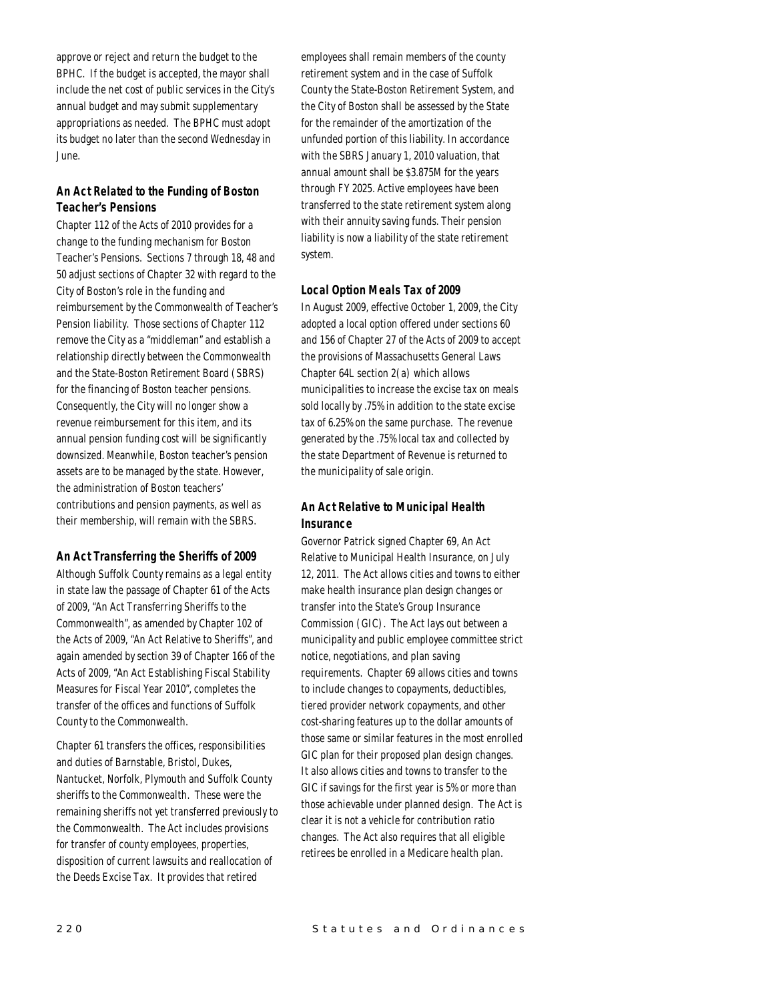approve or reject and return the budget to the BPHC. If the budget is accepted, the mayor shall include the net cost of public services in the City's annual budget and may submit supplementary appropriations as needed. The BPHC must adopt its budget no later than the second Wednesday in June.

# *An Act Related to the Funding of Boston Teacher's Pensions*

Chapter 112 of the Acts of 2010 provides for a change to the funding mechanism for Boston Teacher's Pensions. Sections 7 through 18, 48 and 50 adjust sections of Chapter 32 with regard to the City of Boston's role in the funding and reimbursement by the Commonwealth of Teacher's Pension liability. Those sections of Chapter 112 remove the City as a "middleman" and establish a relationship directly between the Commonwealth and the State-Boston Retirement Board (SBRS) for the financing of Boston teacher pensions. Consequently, the City will no longer show a revenue reimbursement for this item, and its annual pension funding cost will be significantly downsized. Meanwhile, Boston teacher's pension assets are to be managed by the state. However, the administration of Boston teachers' contributions and pension payments, as well as their membership, will remain with the SBRS.

## *An Act Transferring the Sheriffs of 2009*

Although Suffolk County remains as a legal entity in state law the passage of Chapter 61 of the Acts of 2009, "An Act Transferring Sheriffs to the Commonwealth", as amended by Chapter 102 of the Acts of 2009, "An Act Relative to Sheriffs", and again amended by section 39 of Chapter 166 of the Acts of 2009, "An Act Establishing Fiscal Stability Measures for Fiscal Year 2010", completes the transfer of the offices and functions of Suffolk County to the Commonwealth.

Chapter 61 transfers the offices, responsibilities and duties of Barnstable, Bristol, Dukes, Nantucket, Norfolk, Plymouth and Suffolk County sheriffs to the Commonwealth. These were the remaining sheriffs not yet transferred previously to the Commonwealth. The Act includes provisions for transfer of county employees, properties, disposition of current lawsuits and reallocation of the Deeds Excise Tax. It provides that retired

employees shall remain members of the county retirement system and in the case of Suffolk County the State-Boston Retirement System, and the City of Boston shall be assessed by the State for the remainder of the amortization of the unfunded portion of this liability. In accordance with the SBRS January 1, 2010 valuation, that annual amount shall be \$3.875M for the years through FY 2025. Active employees have been transferred to the state retirement system along with their annuity saving funds. Their pension liability is now a liability of the state retirement system.

# *Local Option Meals Tax of 2009*

In August 2009, effective October 1, 2009, the City adopted a local option offered under sections 60 and 156 of Chapter 27 of the Acts of 2009 to accept the provisions of Massachusetts General Laws Chapter  $64L$  section  $2(a)$  which allows municipalities to increase the excise tax on meals sold locally by .75% in addition to the state excise tax of 6.25% on the same purchase. The revenue generated by the .75% local tax and collected by the state Department of Revenue is returned to the municipality of sale origin.

# *An Act Relative to Municipal Health Insurance*

Governor Patrick signed Chapter 69, An Act Relative to Municipal Health Insurance, on July 12, 2011. The Act allows cities and towns to either make health insurance plan design changes or transfer into the State's Group Insurance Commission (GIC). The Act lays out between a municipality and public employee committee strict notice, negotiations, and plan saving requirements. Chapter 69 allows cities and towns to include changes to copayments, deductibles, tiered provider network copayments, and other cost-sharing features up to the dollar amounts of those same or similar features in the most enrolled GIC plan for their proposed plan design changes. It also allows cities and towns to transfer to the GIC if savings for the first year is 5% or more than those achievable under planned design. The Act is clear it is not a vehicle for contribution ratio changes. The Act also requires that all eligible retirees be enrolled in a Medicare health plan.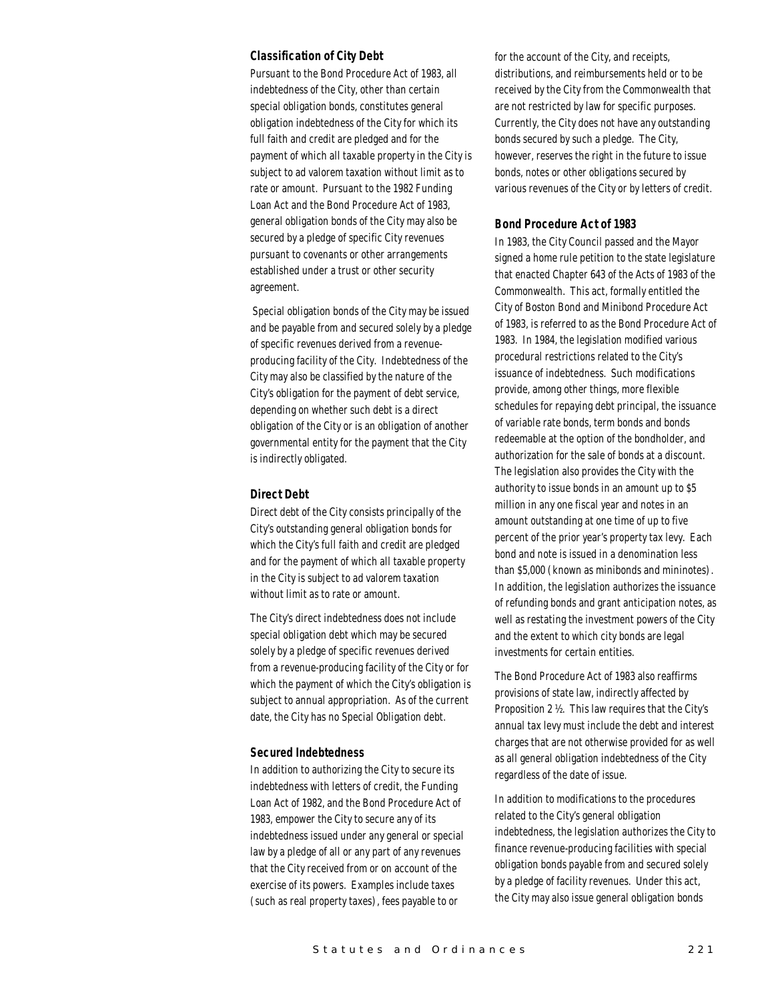### *Classification of City Debt*

Pursuant to the Bond Procedure Act of 1983, all indebtedness of the City, other than certain special obligation bonds, constitutes general obligation indebtedness of the City for which its full faith and credit are pledged and for the payment of which all taxable property in the City is subject to ad valorem taxation without limit as to rate or amount. Pursuant to the 1982 Funding Loan Act and the Bond Procedure Act of 1983, general obligation bonds of the City may also be secured by a pledge of specific City revenues pursuant to covenants or other arrangements established under a trust or other security agreement.

 Special obligation bonds of the City may be issued and be payable from and secured solely by a pledge of specific revenues derived from a revenueproducing facility of the City. Indebtedness of the City may also be classified by the nature of the City's obligation for the payment of debt service, depending on whether such debt is a direct obligation of the City or is an obligation of another governmental entity for the payment that the City is indirectly obligated.

## *Direct Debt*

Direct debt of the City consists principally of the City's outstanding general obligation bonds for which the City's full faith and credit are pledged and for the payment of which all taxable property in the City is subject to ad valorem taxation without limit as to rate or amount.

The City's direct indebtedness does not include special obligation debt which may be secured solely by a pledge of specific revenues derived from a revenue-producing facility of the City or for which the payment of which the City's obligation is subject to annual appropriation. As of the current date, the City has no Special Obligation debt.

### *Secured Indebtedness*

In addition to authorizing the City to secure its indebtedness with letters of credit, the Funding Loan Act of 1982, and the Bond Procedure Act of 1983, empower the City to secure any of its indebtedness issued under any general or special law by a pledge of all or any part of any revenues that the City received from or on account of the exercise of its powers. Examples include taxes (such as real property taxes), fees payable to or

for the account of the City, and receipts, distributions, and reimbursements held or to be received by the City from the Commonwealth that are not restricted by law for specific purposes. Currently, the City does not have any outstanding bonds secured by such a pledge. The City, however, reserves the right in the future to issue bonds, notes or other obligations secured by various revenues of the City or by letters of credit.

## *Bond Procedure Act of 1983*

In 1983, the City Council passed and the Mayor signed a home rule petition to the state legislature that enacted Chapter 643 of the Acts of 1983 of the Commonwealth. This act, formally entitled the City of Boston Bond and Minibond Procedure Act of 1983, is referred to as the Bond Procedure Act of 1983. In 1984, the legislation modified various procedural restrictions related to the City's issuance of indebtedness. Such modifications provide, among other things, more flexible schedules for repaying debt principal, the issuance of variable rate bonds, term bonds and bonds redeemable at the option of the bondholder, and authorization for the sale of bonds at a discount. The legislation also provides the City with the authority to issue bonds in an amount up to \$5 million in any one fiscal year and notes in an amount outstanding at one time of up to five percent of the prior year's property tax levy. Each bond and note is issued in a denomination less than \$5,000 (known as minibonds and mininotes). In addition, the legislation authorizes the issuance of refunding bonds and grant anticipation notes, as well as restating the investment powers of the City and the extent to which city bonds are legal investments for certain entities.

The Bond Procedure Act of 1983 also reaffirms provisions of state law, indirectly affected by Proposition 2 ½. This law requires that the City's annual tax levy must include the debt and interest charges that are not otherwise provided for as well as all general obligation indebtedness of the City regardless of the date of issue.

In addition to modifications to the procedures related to the City's general obligation indebtedness, the legislation authorizes the City to finance revenue-producing facilities with special obligation bonds payable from and secured solely by a pledge of facility revenues. Under this act, the City may also issue general obligation bonds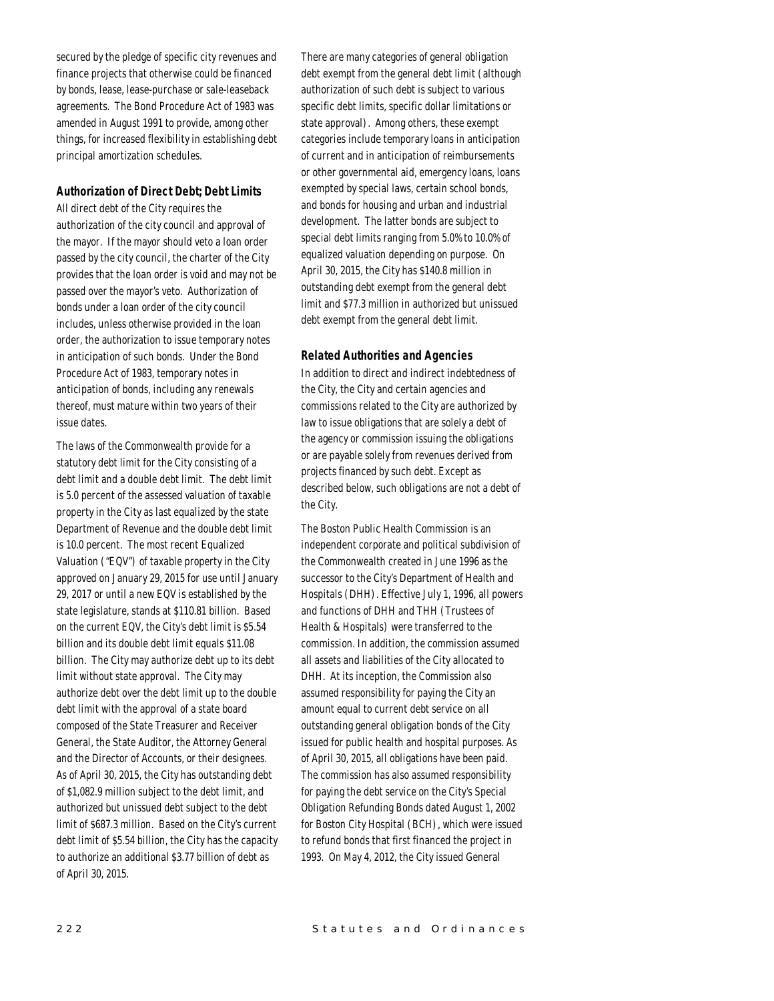secured by the pledge of specific city revenues and finance projects that otherwise could be financed by bonds, lease, lease-purchase or sale-leaseback agreements. The Bond Procedure Act of 1983 was amended in August 1991 to provide, among other things, for increased flexibility in establishing debt principal amortization schedules.

# *Authorization of Direct Debt; Debt Limits*

All direct debt of the City requires the authorization of the city council and approval of the mayor. If the mayor should veto a loan order passed by the city council, the charter of the City provides that the loan order is void and may not be passed over the mayor's veto. Authorization of bonds under a loan order of the city council includes, unless otherwise provided in the loan order, the authorization to issue temporary notes in anticipation of such bonds. Under the Bond Procedure Act of 1983, temporary notes in anticipation of bonds, including any renewals thereof, must mature within two years of their issue dates.

The laws of the Commonwealth provide for a statutory debt limit for the City consisting of a debt limit and a double debt limit. The debt limit is 5.0 percent of the assessed valuation of taxable property in the City as last equalized by the state Department of Revenue and the double debt limit is 10.0 percent. The most recent Equalized Valuation ("EQV") of taxable property in the City approved on January 29, 2015 for use until January 29, 2017 or until a new EQV is established by the state legislature, stands at \$110.81 billion. Based on the current EQV, the City's debt limit is \$5.54 billion and its double debt limit equals \$11.08 billion. The City may authorize debt up to its debt limit without state approval. The City may authorize debt over the debt limit up to the double debt limit with the approval of a state board composed of the State Treasurer and Receiver General, the State Auditor, the Attorney General and the Director of Accounts, or their designees. As of April 30, 2015, the City has outstanding debt of \$1,082.9 million subject to the debt limit, and authorized but unissued debt subject to the debt limit of \$687.3 million. Based on the City's current debt limit of \$5.54 billion, the City has the capacity to authorize an additional \$3.77 billion of debt as of April 30, 2015.

There are many categories of general obligation debt exempt from the general debt limit (although authorization of such debt is subject to various specific debt limits, specific dollar limitations or state approval). Among others, these exempt categories include temporary loans in anticipation of current and in anticipation of reimbursements or other governmental aid, emergency loans, loans exempted by special laws, certain school bonds, and bonds for housing and urban and industrial development. The latter bonds are subject to special debt limits ranging from 5.0% to 10.0% of equalized valuation depending on purpose. On April 30, 2015, the City has \$140.8 million in outstanding debt exempt from the general debt limit and \$77.3 million in authorized but unissued debt exempt from the general debt limit.

#### *Related Authorities and Agencies*

In addition to direct and indirect indebtedness of the City, the City and certain agencies and commissions related to the City are authorized by law to issue obligations that are solely a debt of the agency or commission issuing the obligations or are payable solely from revenues derived from projects financed by such debt. Except as described below, such obligations are not a debt of the City.

The Boston Public Health Commission is an independent corporate and political subdivision of the Commonwealth created in June 1996 as the successor to the City's Department of Health and Hospitals (DHH). Effective July 1, 1996, all powers and functions of DHH and THH (Trustees of Health & Hospitals) were transferred to the commission. In addition, the commission assumed all assets and liabilities of the City allocated to DHH. At its inception, the Commission also assumed responsibility for paying the City an amount equal to current debt service on all outstanding general obligation bonds of the City issued for public health and hospital purposes. As of April 30, 2015, all obligations have been paid. The commission has also assumed responsibility for paying the debt service on the City's Special Obligation Refunding Bonds dated August 1, 2002 for Boston City Hospital (BCH), which were issued to refund bonds that first financed the project in 1993. On May 4, 2012, the City issued General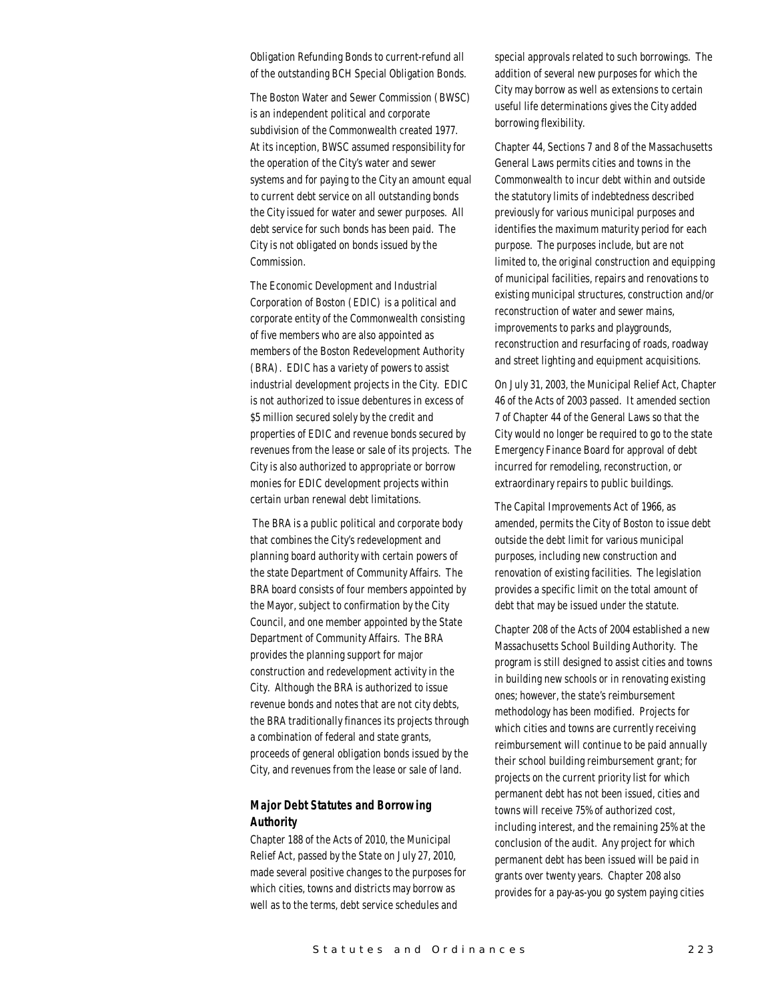Obligation Refunding Bonds to current-refund all of the outstanding BCH Special Obligation Bonds.

The Boston Water and Sewer Commission (BWSC) is an independent political and corporate subdivision of the Commonwealth created 1977. At its inception, BWSC assumed responsibility for the operation of the City's water and sewer systems and for paying to the City an amount equal to current debt service on all outstanding bonds the City issued for water and sewer purposes. All debt service for such bonds has been paid. The City is not obligated on bonds issued by the Commission.

The Economic Development and Industrial Corporation of Boston (EDIC) is a political and corporate entity of the Commonwealth consisting of five members who are also appointed as members of the Boston Redevelopment Authority (BRA). EDIC has a variety of powers to assist industrial development projects in the City. EDIC is not authorized to issue debentures in excess of \$5 million secured solely by the credit and properties of EDIC and revenue bonds secured by revenues from the lease or sale of its projects. The City is also authorized to appropriate or borrow monies for EDIC development projects within certain urban renewal debt limitations.

 The BRA is a public political and corporate body that combines the City's redevelopment and planning board authority with certain powers of the state Department of Community Affairs. The BRA board consists of four members appointed by the Mayor, subject to confirmation by the City Council, and one member appointed by the State Department of Community Affairs. The BRA provides the planning support for major construction and redevelopment activity in the City. Although the BRA is authorized to issue revenue bonds and notes that are not city debts, the BRA traditionally finances its projects through a combination of federal and state grants, proceeds of general obligation bonds issued by the City, and revenues from the lease or sale of land.

# *Major Debt Statutes and Borrowing Authority*

Chapter 188 of the Acts of 2010, the Municipal Relief Act, passed by the State on July 27, 2010, made several positive changes to the purposes for which cities, towns and districts may borrow as well as to the terms, debt service schedules and

special approvals related to such borrowings. The addition of several new purposes for which the City may borrow as well as extensions to certain useful life determinations gives the City added borrowing flexibility.

Chapter 44, Sections 7 and 8 of the Massachusetts General Laws permits cities and towns in the Commonwealth to incur debt within and outside the statutory limits of indebtedness described previously for various municipal purposes and identifies the maximum maturity period for each purpose. The purposes include, but are not limited to, the original construction and equipping of municipal facilities, repairs and renovations to existing municipal structures, construction and/or reconstruction of water and sewer mains, improvements to parks and playgrounds, reconstruction and resurfacing of roads, roadway and street lighting and equipment acquisitions.

On July 31, 2003, the Municipal Relief Act, Chapter 46 of the Acts of 2003 passed. It amended section 7 of Chapter 44 of the General Laws so that the City would no longer be required to go to the state Emergency Finance Board for approval of debt incurred for remodeling, reconstruction, or extraordinary repairs to public buildings.

The Capital Improvements Act of 1966, as amended, permits the City of Boston to issue debt outside the debt limit for various municipal purposes, including new construction and renovation of existing facilities. The legislation provides a specific limit on the total amount of debt that may be issued under the statute.

Chapter 208 of the Acts of 2004 established a new Massachusetts School Building Authority. The program is still designed to assist cities and towns in building new schools or in renovating existing ones; however, the state's reimbursement methodology has been modified. Projects for which cities and towns are currently receiving reimbursement will continue to be paid annually their school building reimbursement grant; for projects on the current priority list for which permanent debt has not been issued, cities and towns will receive 75% of authorized cost, including interest, and the remaining 25% at the conclusion of the audit. Any project for which permanent debt has been issued will be paid in grants over twenty years. Chapter 208 also provides for a pay-as-you go system paying cities